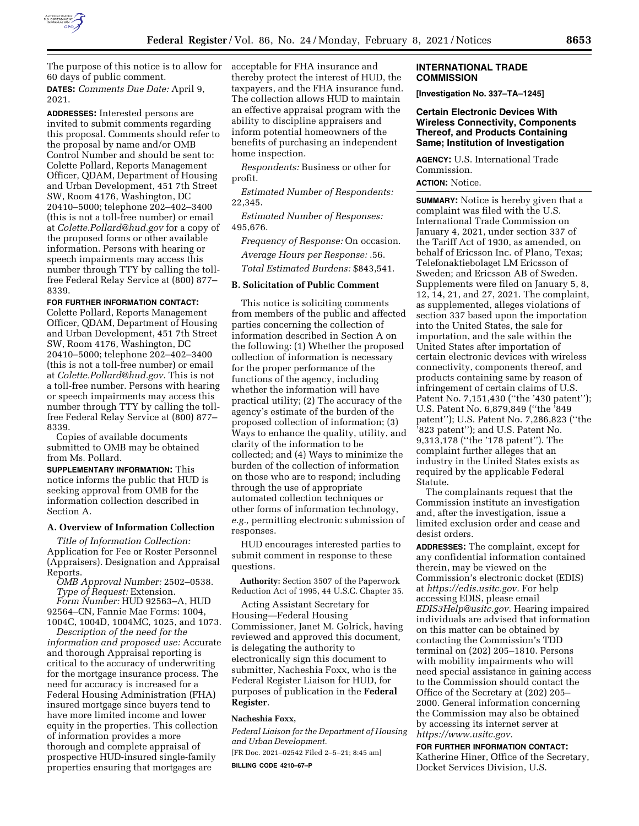

The purpose of this notice is to allow for 60 days of public comment. **DATES:** *Comments Due Date:* April 9, 2021.

**ADDRESSES:** Interested persons are invited to submit comments regarding this proposal. Comments should refer to the proposal by name and/or OMB Control Number and should be sent to: Colette Pollard, Reports Management Officer, QDAM, Department of Housing and Urban Development, 451 7th Street SW, Room 4176, Washington, DC 20410–5000; telephone 202–402–3400 (this is not a toll-free number) or email at *[Colette.Pollard@hud.gov](mailto:Colette.Pollard@hud.gov)* for a copy of the proposed forms or other available information. Persons with hearing or speech impairments may access this number through TTY by calling the tollfree Federal Relay Service at (800) 877– 8339.

### **FOR FURTHER INFORMATION CONTACT:**

Colette Pollard, Reports Management Officer, QDAM, Department of Housing and Urban Development, 451 7th Street SW, Room 4176, Washington, DC 20410–5000; telephone 202–402–3400 (this is not a toll-free number) or email at *[Colette.Pollard@hud.gov.](mailto:Colette.Pollard@hud.gov)* This is not a toll-free number. Persons with hearing or speech impairments may access this number through TTY by calling the tollfree Federal Relay Service at (800) 877– 8339.

Copies of available documents submitted to OMB may be obtained from Ms. Pollard.

**SUPPLEMENTARY INFORMATION:** This notice informs the public that HUD is seeking approval from OMB for the information collection described in Section A.

## **A. Overview of Information Collection**

*Title of Information Collection:*  Application for Fee or Roster Personnel (Appraisers). Designation and Appraisal Reports.

*OMB Approval Number:* 2502–0538. *Type of Request:* Extension.

*Form Number:* HUD 92563–A, HUD 92564–CN, Fannie Mae Forms: 1004, 1004C, 1004D, 1004MC, 1025, and 1073.

*Description of the need for the information and proposed use:* Accurate and thorough Appraisal reporting is critical to the accuracy of underwriting for the mortgage insurance process. The need for accuracy is increased for a Federal Housing Administration (FHA) insured mortgage since buyers tend to have more limited income and lower equity in the properties. This collection of information provides a more thorough and complete appraisal of prospective HUD-insured single-family properties ensuring that mortgages are

acceptable for FHA insurance and thereby protect the interest of HUD, the taxpayers, and the FHA insurance fund. The collection allows HUD to maintain an effective appraisal program with the ability to discipline appraisers and inform potential homeowners of the benefits of purchasing an independent home inspection.

*Respondents:* Business or other for profit.

*Estimated Number of Respondents:*  22,345.

*Estimated Number of Responses:*  495,676.

*Frequency of Response:* On occasion.

*Average Hours per Response:* .56.

*Total Estimated Burdens:* \$843,541.

## **B. Solicitation of Public Comment**

This notice is soliciting comments from members of the public and affected parties concerning the collection of information described in Section A on the following: (1) Whether the proposed collection of information is necessary for the proper performance of the functions of the agency, including whether the information will have practical utility; (2) The accuracy of the agency's estimate of the burden of the proposed collection of information; (3) Ways to enhance the quality, utility, and clarity of the information to be collected; and (4) Ways to minimize the burden of the collection of information on those who are to respond; including through the use of appropriate automated collection techniques or other forms of information technology, *e.g.,* permitting electronic submission of responses.

HUD encourages interested parties to submit comment in response to these questions.

**Authority:** Section 3507 of the Paperwork Reduction Act of 1995, 44 U.S.C. Chapter 35.

Acting Assistant Secretary for Housing—Federal Housing Commissioner, Janet M. Golrick, having reviewed and approved this document, is delegating the authority to electronically sign this document to submitter, Nacheshia Foxx, who is the Federal Register Liaison for HUD, for purposes of publication in the **Federal Register**.

### **Nacheshia Foxx,**

*Federal Liaison for the Department of Housing and Urban Development.* 

[FR Doc. 2021–02542 Filed 2–5–21; 8:45 am]

**BILLING CODE 4210–67–P** 

### **INTERNATIONAL TRADE COMMISSION**

**[Investigation No. 337–TA–1245]** 

### **Certain Electronic Devices With Wireless Connectivity, Components Thereof, and Products Containing Same; Institution of Investigation**

**AGENCY:** U.S. International Trade Commission. **ACTION:** Notice.

**SUMMARY:** Notice is hereby given that a complaint was filed with the U.S. International Trade Commission on January 4, 2021, under section 337 of the Tariff Act of 1930, as amended, on behalf of Ericsson Inc. of Plano, Texas; Telefonaktiebolaget LM Ericsson of Sweden; and Ericsson AB of Sweden. Supplements were filed on January 5, 8, 12, 14, 21, and 27, 2021. The complaint, as supplemented, alleges violations of section 337 based upon the importation into the United States, the sale for importation, and the sale within the United States after importation of certain electronic devices with wireless connectivity, components thereof, and products containing same by reason of infringement of certain claims of U.S. Patent No. 7,151,430 (''the '430 patent''); U.S. Patent No. 6,879,849 (''the '849 patent''); U.S. Patent No. 7,286,823 (''the '823 patent''); and U.S. Patent No. 9,313,178 (''the '178 patent''). The complaint further alleges that an industry in the United States exists as required by the applicable Federal Statute.

The complainants request that the Commission institute an investigation and, after the investigation, issue a limited exclusion order and cease and desist orders.

**ADDRESSES:** The complaint, except for any confidential information contained therein, may be viewed on the Commission's electronic docket (EDIS) at *[https://edis.usitc.gov.](https://edis.usitc.gov)* For help accessing EDIS, please email *[EDIS3Help@usitc.gov.](mailto:EDIS3Help@usitc.gov)* Hearing impaired individuals are advised that information on this matter can be obtained by contacting the Commission's TDD terminal on (202) 205–1810. Persons with mobility impairments who will need special assistance in gaining access to the Commission should contact the Office of the Secretary at (202) 205– 2000. General information concerning the Commission may also be obtained by accessing its internet server at *[https://www.usitc.gov.](https://www.usitc.gov)* 

**FOR FURTHER INFORMATION CONTACT:**  Katherine Hiner, Office of the Secretary, Docket Services Division, U.S.